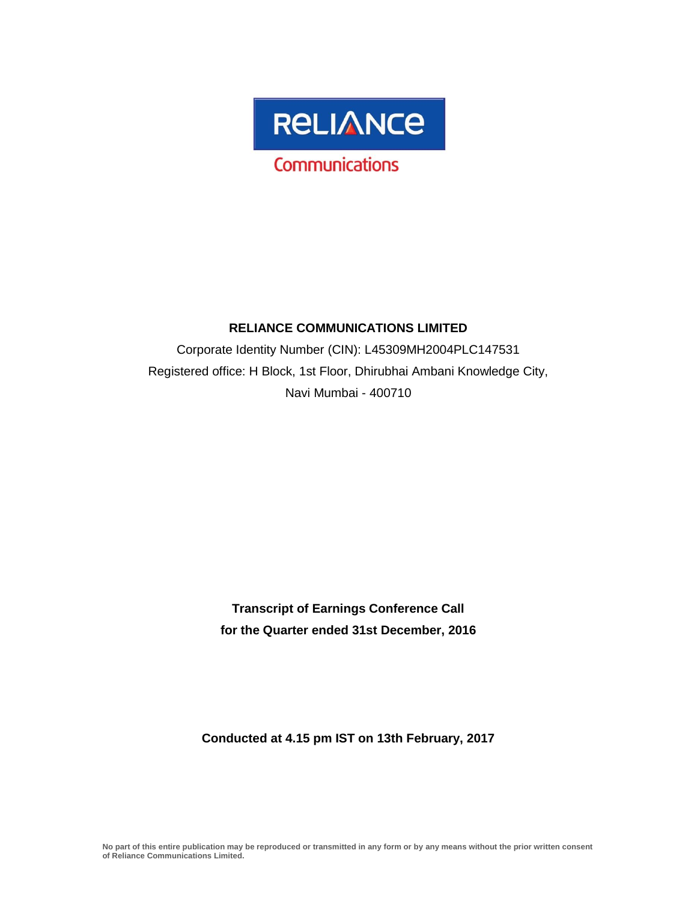

## **RELIANCE COMMUNICATIONS LIMITED**

Corporate Identity Number (CIN): L45309MH2004PLC147531 Registered office: H Block, 1st Floor, Dhirubhai Ambani Knowledge City, Navi Mumbai - 400710

> **Transcript of Earnings Conference Call for the Quarter ended 31st December, 2016**

**Conducted at 4.15 pm IST on 13th February, 2017**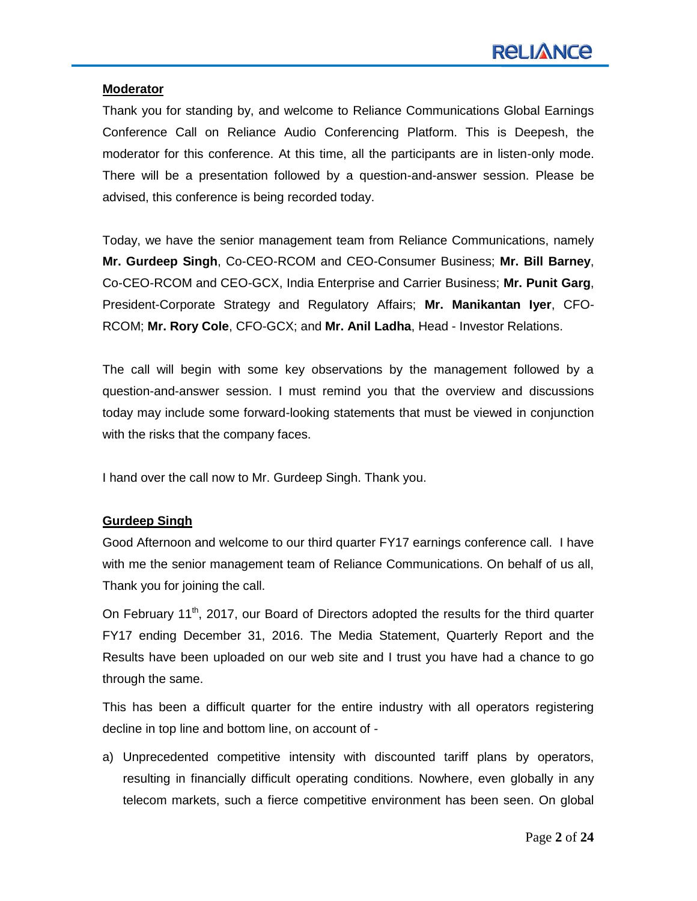#### **Moderator**

Thank you for standing by, and welcome to Reliance Communications Global Earnings Conference Call on Reliance Audio Conferencing Platform. This is Deepesh, the moderator for this conference. At this time, all the participants are in listen-only mode. There will be a presentation followed by a question-and-answer session. Please be advised, this conference is being recorded today.

Today, we have the senior management team from Reliance Communications, namely **Mr. Gurdeep Singh**, Co-CEO-RCOM and CEO-Consumer Business; **Mr. Bill Barney**, Co-CEO-RCOM and CEO-GCX, India Enterprise and Carrier Business; **Mr. Punit Garg**, President-Corporate Strategy and Regulatory Affairs; **Mr. Manikantan Iyer**, CFO-RCOM; **Mr. Rory Cole**, CFO-GCX; and **Mr. Anil Ladha**, Head - Investor Relations.

The call will begin with some key observations by the management followed by a question-and-answer session. I must remind you that the overview and discussions today may include some forward-looking statements that must be viewed in conjunction with the risks that the company faces.

I hand over the call now to Mr. Gurdeep Singh. Thank you.

## **Gurdeep Singh**

Good Afternoon and welcome to our third quarter FY17 earnings conference call. I have with me the senior management team of Reliance Communications. On behalf of us all, Thank you for joining the call.

On February 11<sup>th</sup>, 2017, our Board of Directors adopted the results for the third quarter FY17 ending December 31, 2016. The Media Statement, Quarterly Report and the Results have been uploaded on our web site and I trust you have had a chance to go through the same.

This has been a difficult quarter for the entire industry with all operators registering decline in top line and bottom line, on account of -

a) Unprecedented competitive intensity with discounted tariff plans by operators, resulting in financially difficult operating conditions. Nowhere, even globally in any telecom markets, such a fierce competitive environment has been seen. On global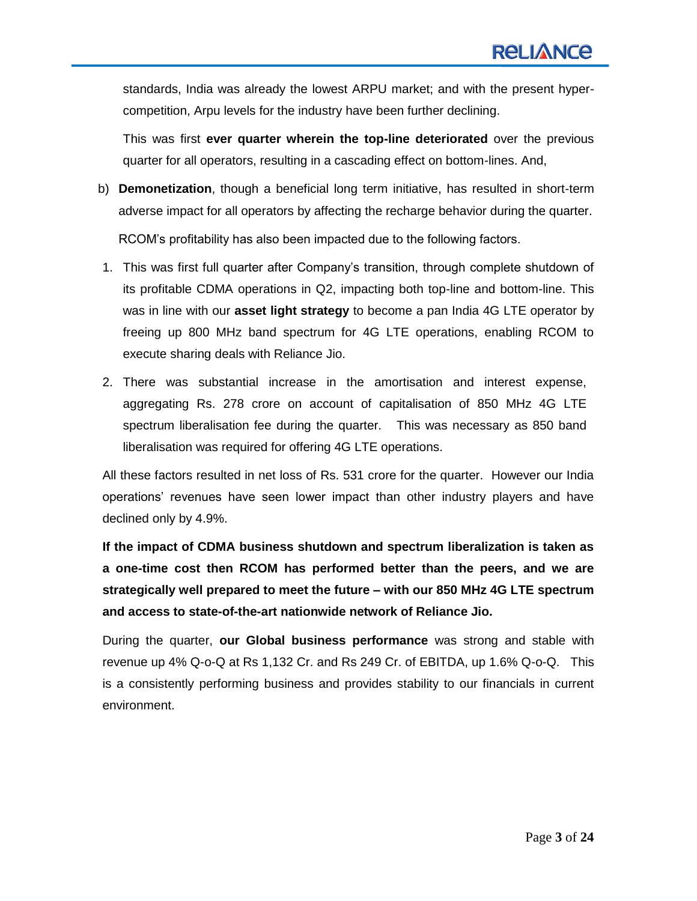standards, India was already the lowest ARPU market; and with the present hypercompetition, Arpu levels for the industry have been further declining.

This was first **ever quarter wherein the top-line deteriorated** over the previous quarter for all operators, resulting in a cascading effect on bottom-lines. And,

- b) **Demonetization**, though a beneficial long term initiative, has resulted in short-term adverse impact for all operators by affecting the recharge behavior during the quarter. RCOM's profitability has also been impacted due to the following factors.
- 1. This was first full quarter after Company's transition, through complete shutdown of its profitable CDMA operations in Q2, impacting both top-line and bottom-line. This was in line with our **asset light strategy** to become a pan India 4G LTE operator by freeing up 800 MHz band spectrum for 4G LTE operations, enabling RCOM to execute sharing deals with Reliance Jio.
- 2. There was substantial increase in the amortisation and interest expense, aggregating Rs. 278 crore on account of capitalisation of 850 MHz 4G LTE spectrum liberalisation fee during the quarter. This was necessary as 850 band liberalisation was required for offering 4G LTE operations.

All these factors resulted in net loss of Rs. 531 crore for the quarter. However our India operations' revenues have seen lower impact than other industry players and have declined only by 4.9%.

**If the impact of CDMA business shutdown and spectrum liberalization is taken as a one-time cost then RCOM has performed better than the peers, and we are strategically well prepared to meet the future – with our 850 MHz 4G LTE spectrum and access to state-of-the-art nationwide network of Reliance Jio.** 

During the quarter, **our Global business performance** was strong and stable with revenue up 4% Q-o-Q at Rs 1,132 Cr. and Rs 249 Cr. of EBITDA, up 1.6% Q-o-Q. This is a consistently performing business and provides stability to our financials in current environment.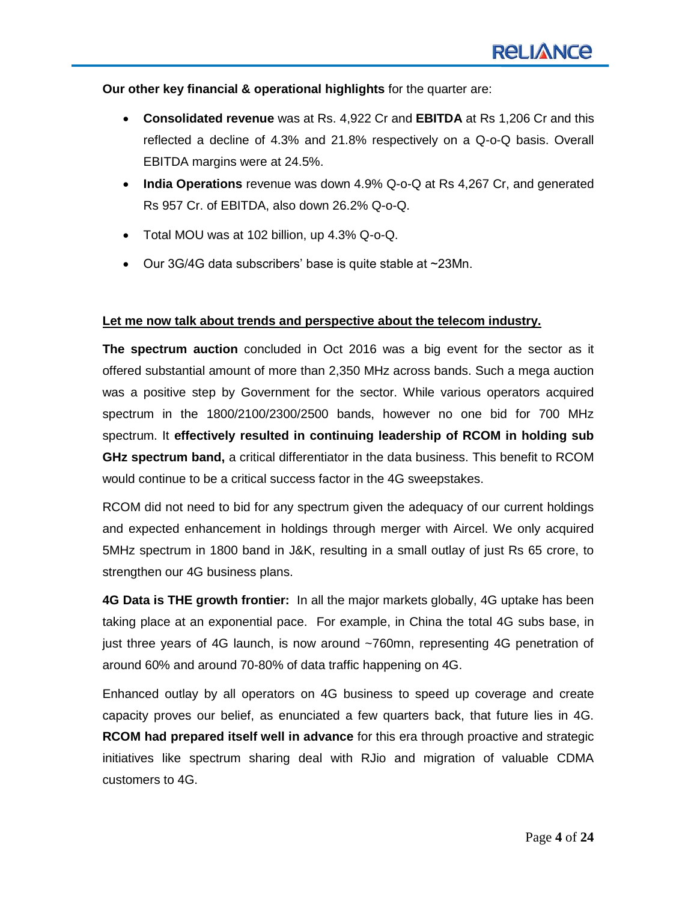**Our other key financial & operational highlights** for the quarter are:

- **Consolidated revenue** was at Rs. 4,922 Cr and **EBITDA** at Rs 1,206 Cr and this reflected a decline of 4.3% and 21.8% respectively on a Q-o-Q basis. Overall EBITDA margins were at 24.5%.
- **India Operations** revenue was down 4.9% Q-o-Q at Rs 4,267 Cr, and generated Rs 957 Cr. of EBITDA, also down 26.2% Q-o-Q.
- Total MOU was at 102 billion, up 4.3% Q-o-Q.
- Our 3G/4G data subscribers' base is quite stable at ~23Mn.

## **Let me now talk about trends and perspective about the telecom industry.**

**The spectrum auction** concluded in Oct 2016 was a big event for the sector as it offered substantial amount of more than 2,350 MHz across bands. Such a mega auction was a positive step by Government for the sector. While various operators acquired spectrum in the 1800/2100/2300/2500 bands, however no one bid for 700 MHz spectrum. It **effectively resulted in continuing leadership of RCOM in holding sub GHz spectrum band,** a critical differentiator in the data business. This benefit to RCOM would continue to be a critical success factor in the 4G sweepstakes.

RCOM did not need to bid for any spectrum given the adequacy of our current holdings and expected enhancement in holdings through merger with Aircel. We only acquired 5MHz spectrum in 1800 band in J&K, resulting in a small outlay of just Rs 65 crore, to strengthen our 4G business plans.

**4G Data is THE growth frontier:** In all the major markets globally, 4G uptake has been taking place at an exponential pace. For example, in China the total 4G subs base, in just three years of 4G launch, is now around ~760mn, representing 4G penetration of around 60% and around 70-80% of data traffic happening on 4G.

Enhanced outlay by all operators on 4G business to speed up coverage and create capacity proves our belief, as enunciated a few quarters back, that future lies in 4G. **RCOM had prepared itself well in advance** for this era through proactive and strategic initiatives like spectrum sharing deal with RJio and migration of valuable CDMA customers to 4G.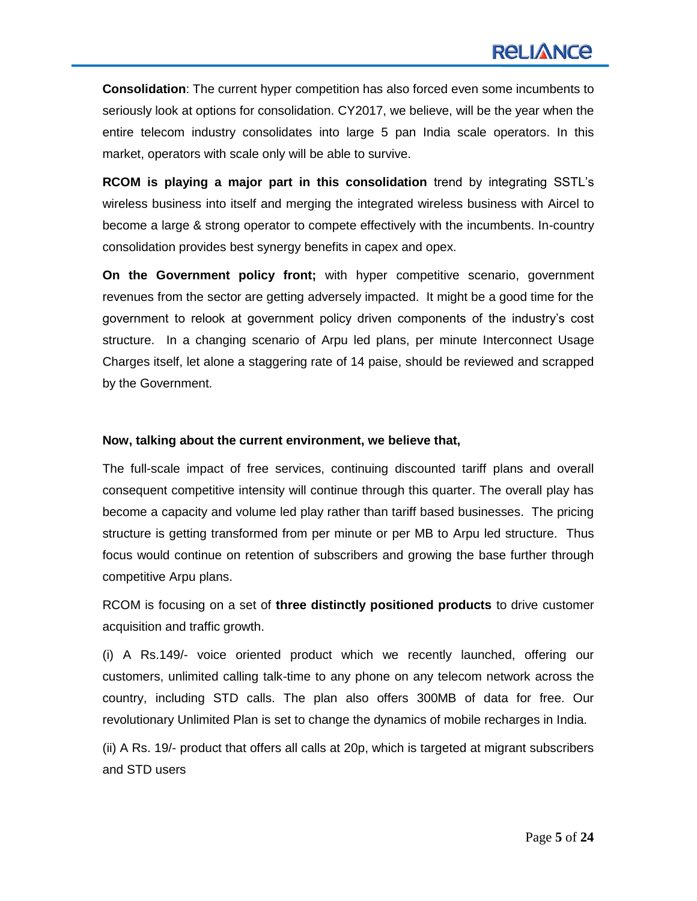**Consolidation**: The current hyper competition has also forced even some incumbents to seriously look at options for consolidation. CY2017, we believe, will be the year when the entire telecom industry consolidates into large 5 pan India scale operators. In this market, operators with scale only will be able to survive.

**RCOM is playing a major part in this consolidation** trend by integrating SSTL's wireless business into itself and merging the integrated wireless business with Aircel to become a large & strong operator to compete effectively with the incumbents. In-country consolidation provides best synergy benefits in capex and opex.

**On the Government policy front;** with hyper competitive scenario, government revenues from the sector are getting adversely impacted. It might be a good time for the government to relook at government policy driven components of the industry's cost structure. In a changing scenario of Arpu led plans, per minute Interconnect Usage Charges itself, let alone a staggering rate of 14 paise, should be reviewed and scrapped by the Government.

#### **Now, talking about the current environment, we believe that,**

The full-scale impact of free services, continuing discounted tariff plans and overall consequent competitive intensity will continue through this quarter. The overall play has become a capacity and volume led play rather than tariff based businesses. The pricing structure is getting transformed from per minute or per MB to Arpu led structure. Thus focus would continue on retention of subscribers and growing the base further through competitive Arpu plans.

RCOM is focusing on a set of **three distinctly positioned products** to drive customer acquisition and traffic growth.

(i) A Rs.149/- voice oriented product which we recently launched, offering our customers, unlimited calling talk-time to any phone on any telecom network across the country, including STD calls. The plan also offers 300MB of data for free. Our revolutionary Unlimited Plan is set to change the dynamics of mobile recharges in India.

(ii) A Rs. 19/- product that offers all calls at 20p, which is targeted at migrant subscribers and STD users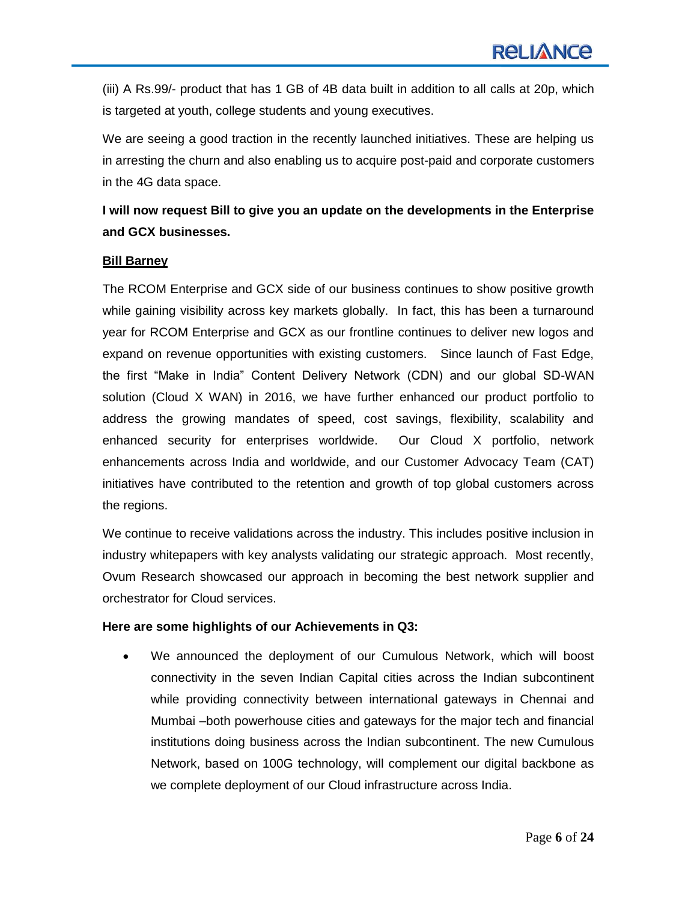(iii) A Rs.99/- product that has 1 GB of 4B data built in addition to all calls at 20p, which is targeted at youth, college students and young executives.

We are seeing a good traction in the recently launched initiatives. These are helping us in arresting the churn and also enabling us to acquire post-paid and corporate customers in the 4G data space.

## **I will now request Bill to give you an update on the developments in the Enterprise and GCX businesses.**

## **Bill Barney**

The RCOM Enterprise and GCX side of our business continues to show positive growth while gaining visibility across key markets globally. In fact, this has been a turnaround year for RCOM Enterprise and GCX as our frontline continues to deliver new logos and expand on revenue opportunities with existing customers. Since launch of Fast Edge, the first "Make in India" Content Delivery Network (CDN) and our global SD-WAN solution (Cloud X WAN) in 2016, we have further enhanced our product portfolio to address the growing mandates of speed, cost savings, flexibility, scalability and enhanced security for enterprises worldwide. Our Cloud X portfolio, network enhancements across India and worldwide, and our Customer Advocacy Team (CAT) initiatives have contributed to the retention and growth of top global customers across the regions.

We continue to receive validations across the industry. This includes positive inclusion in industry whitepapers with key analysts validating our strategic approach. Most recently, Ovum Research showcased our approach in becoming the best network supplier and orchestrator for Cloud services.

## **Here are some highlights of our Achievements in Q3:**

 We announced the deployment of our Cumulous Network, which will boost connectivity in the seven Indian Capital cities across the Indian subcontinent while providing connectivity between international gateways in Chennai and Mumbai –both powerhouse cities and gateways for the major tech and financial institutions doing business across the Indian subcontinent. The new Cumulous Network, based on 100G technology, will complement our digital backbone as we complete deployment of our Cloud infrastructure across India.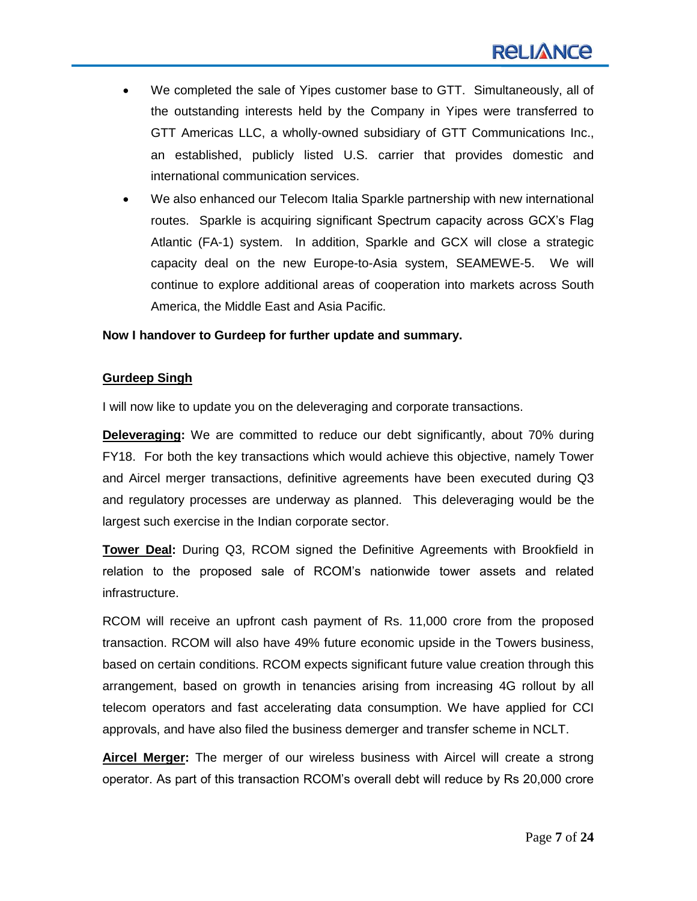- We completed the sale of Yipes customer base to GTT. Simultaneously, all of the outstanding interests held by the Company in Yipes were transferred to GTT Americas LLC, a wholly-owned subsidiary of GTT Communications Inc., an established, publicly listed U.S. carrier that provides domestic and international communication services.
- We also enhanced our Telecom Italia Sparkle partnership with new international routes. Sparkle is acquiring significant Spectrum capacity across GCX's Flag Atlantic (FA-1) system. In addition, Sparkle and GCX will close a strategic capacity deal on the new Europe-to-Asia system, SEAMEWE-5. We will continue to explore additional areas of cooperation into markets across South America, the Middle East and Asia Pacific.

#### **Now I handover to Gurdeep for further update and summary.**

#### **Gurdeep Singh**

I will now like to update you on the deleveraging and corporate transactions.

**Deleveraging:** We are committed to reduce our debt significantly, about 70% during FY18. For both the key transactions which would achieve this objective, namely Tower and Aircel merger transactions, definitive agreements have been executed during Q3 and regulatory processes are underway as planned. This deleveraging would be the largest such exercise in the Indian corporate sector.

**Tower Deal:** During Q3, RCOM signed the Definitive Agreements with Brookfield in relation to the proposed sale of RCOM's nationwide tower assets and related infrastructure.

RCOM will receive an upfront cash payment of Rs. 11,000 crore from the proposed transaction. RCOM will also have 49% future economic upside in the Towers business, based on certain conditions. RCOM expects significant future value creation through this arrangement, based on growth in tenancies arising from increasing 4G rollout by all telecom operators and fast accelerating data consumption. We have applied for CCI approvals, and have also filed the business demerger and transfer scheme in NCLT.

**Aircel Merger:** The merger of our wireless business with Aircel will create a strong operator. As part of this transaction RCOM's overall debt will reduce by Rs 20,000 crore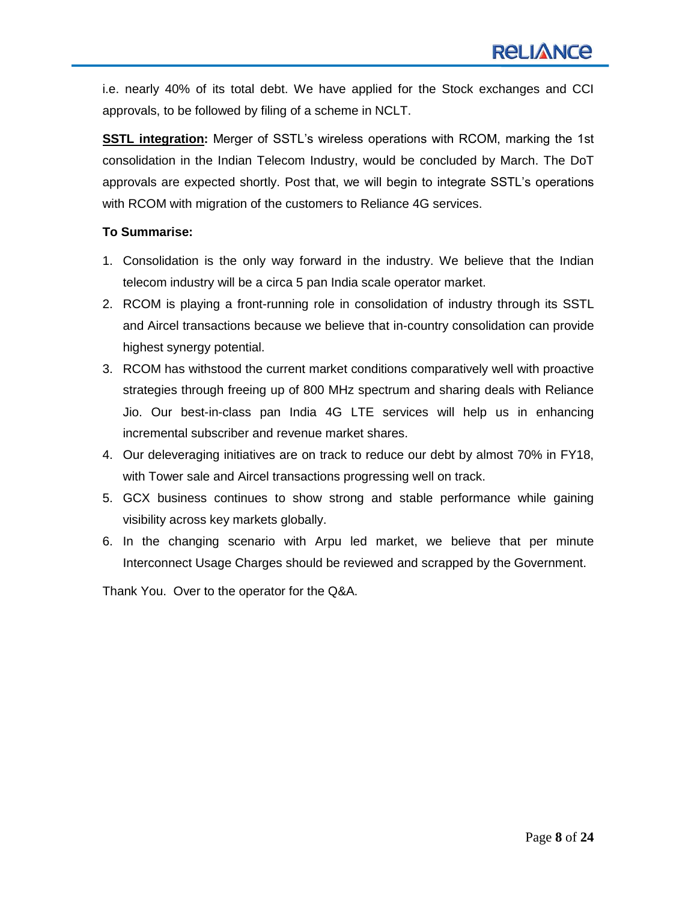i.e. nearly 40% of its total debt. We have applied for the Stock exchanges and CCI approvals, to be followed by filing of a scheme in NCLT.

**SSTL integration:** Merger of SSTL's wireless operations with RCOM, marking the 1st consolidation in the Indian Telecom Industry, would be concluded by March. The DoT approvals are expected shortly. Post that, we will begin to integrate SSTL's operations with RCOM with migration of the customers to Reliance 4G services.

## **To Summarise:**

- 1. Consolidation is the only way forward in the industry. We believe that the Indian telecom industry will be a circa 5 pan India scale operator market.
- 2. RCOM is playing a front-running role in consolidation of industry through its SSTL and Aircel transactions because we believe that in-country consolidation can provide highest synergy potential.
- 3. RCOM has withstood the current market conditions comparatively well with proactive strategies through freeing up of 800 MHz spectrum and sharing deals with Reliance Jio. Our best-in-class pan India 4G LTE services will help us in enhancing incremental subscriber and revenue market shares.
- 4. Our deleveraging initiatives are on track to reduce our debt by almost 70% in FY18, with Tower sale and Aircel transactions progressing well on track.
- 5. GCX business continues to show strong and stable performance while gaining visibility across key markets globally.
- 6. In the changing scenario with Arpu led market, we believe that per minute Interconnect Usage Charges should be reviewed and scrapped by the Government.

Thank You. Over to the operator for the Q&A.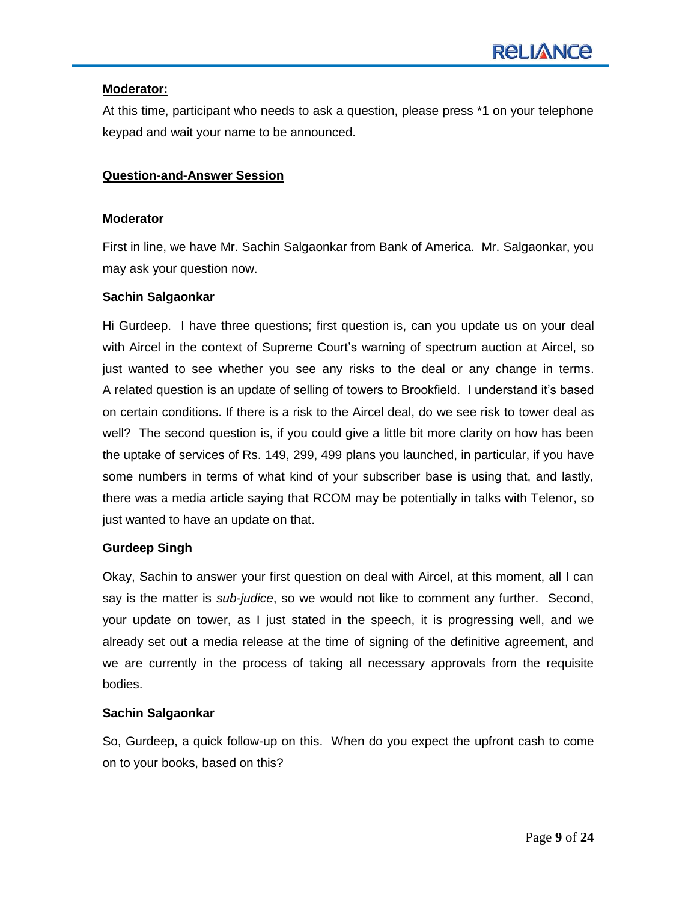## **Moderator:**

At this time, participant who needs to ask a question, please press \*1 on your telephone keypad and wait your name to be announced.

## **Question-and-Answer Session**

## **Moderator**

First in line, we have Mr. Sachin Salgaonkar from Bank of America. Mr. Salgaonkar, you may ask your question now.

## **Sachin Salgaonkar**

Hi Gurdeep. I have three questions; first question is, can you update us on your deal with Aircel in the context of Supreme Court's warning of spectrum auction at Aircel, so just wanted to see whether you see any risks to the deal or any change in terms. A related question is an update of selling of towers to Brookfield. I understand it's based on certain conditions. If there is a risk to the Aircel deal, do we see risk to tower deal as well? The second question is, if you could give a little bit more clarity on how has been the uptake of services of Rs. 149, 299, 499 plans you launched, in particular, if you have some numbers in terms of what kind of your subscriber base is using that, and lastly, there was a media article saying that RCOM may be potentially in talks with Telenor, so just wanted to have an update on that.

## **Gurdeep Singh**

Okay, Sachin to answer your first question on deal with Aircel, at this moment, all I can say is the matter is *sub-judice*, so we would not like to comment any further. Second, your update on tower, as I just stated in the speech, it is progressing well, and we already set out a media release at the time of signing of the definitive agreement, and we are currently in the process of taking all necessary approvals from the requisite bodies.

## **Sachin Salgaonkar**

So, Gurdeep, a quick follow-up on this. When do you expect the upfront cash to come on to your books, based on this?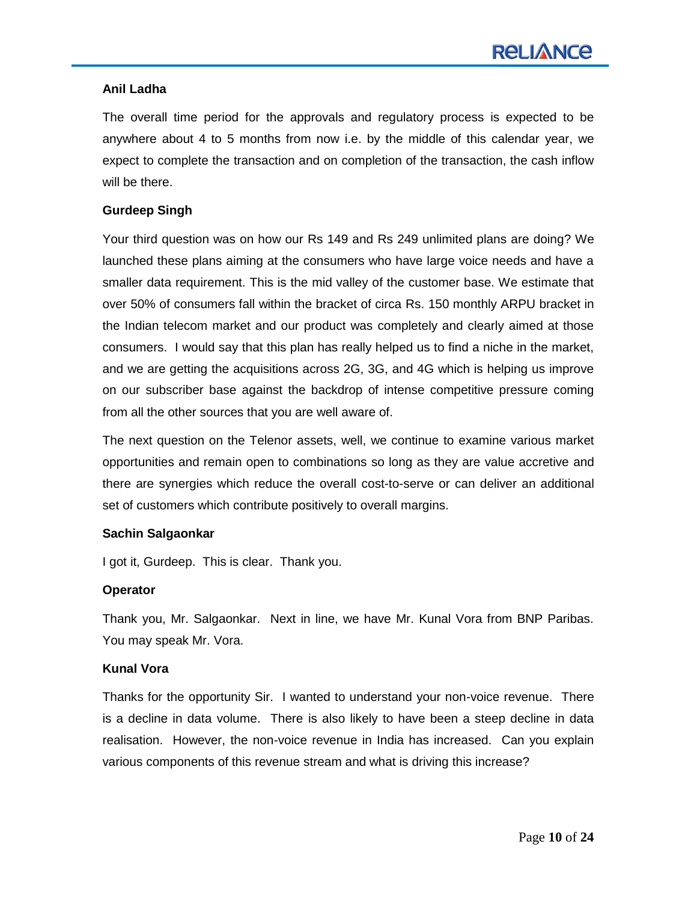The overall time period for the approvals and regulatory process is expected to be anywhere about 4 to 5 months from now i.e. by the middle of this calendar year, we expect to complete the transaction and on completion of the transaction, the cash inflow will be there.

## **Gurdeep Singh**

Your third question was on how our Rs 149 and Rs 249 unlimited plans are doing? We launched these plans aiming at the consumers who have large voice needs and have a smaller data requirement. This is the mid valley of the customer base. We estimate that over 50% of consumers fall within the bracket of circa Rs. 150 monthly ARPU bracket in the Indian telecom market and our product was completely and clearly aimed at those consumers. I would say that this plan has really helped us to find a niche in the market, and we are getting the acquisitions across 2G, 3G, and 4G which is helping us improve on our subscriber base against the backdrop of intense competitive pressure coming from all the other sources that you are well aware of.

The next question on the Telenor assets, well, we continue to examine various market opportunities and remain open to combinations so long as they are value accretive and there are synergies which reduce the overall cost-to-serve or can deliver an additional set of customers which contribute positively to overall margins.

## **Sachin Salgaonkar**

I got it, Gurdeep. This is clear. Thank you.

## **Operator**

Thank you, Mr. Salgaonkar. Next in line, we have Mr. Kunal Vora from BNP Paribas. You may speak Mr. Vora.

## **Kunal Vora**

Thanks for the opportunity Sir. I wanted to understand your non-voice revenue. There is a decline in data volume. There is also likely to have been a steep decline in data realisation. However, the non-voice revenue in India has increased. Can you explain various components of this revenue stream and what is driving this increase?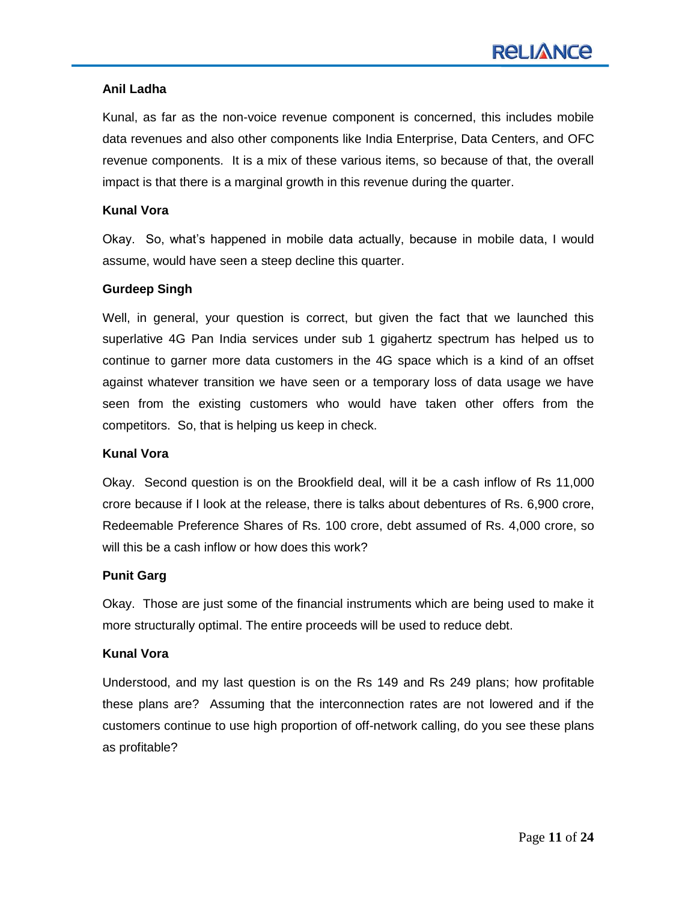Kunal, as far as the non-voice revenue component is concerned, this includes mobile data revenues and also other components like India Enterprise, Data Centers, and OFC revenue components. It is a mix of these various items, so because of that, the overall impact is that there is a marginal growth in this revenue during the quarter.

#### **Kunal Vora**

Okay. So, what's happened in mobile data actually, because in mobile data, I would assume, would have seen a steep decline this quarter.

## **Gurdeep Singh**

Well, in general, your question is correct, but given the fact that we launched this superlative 4G Pan India services under sub 1 gigahertz spectrum has helped us to continue to garner more data customers in the 4G space which is a kind of an offset against whatever transition we have seen or a temporary loss of data usage we have seen from the existing customers who would have taken other offers from the competitors. So, that is helping us keep in check.

#### **Kunal Vora**

Okay. Second question is on the Brookfield deal, will it be a cash inflow of Rs 11,000 crore because if I look at the release, there is talks about debentures of Rs. 6,900 crore, Redeemable Preference Shares of Rs. 100 crore, debt assumed of Rs. 4,000 crore, so will this be a cash inflow or how does this work?

## **Punit Garg**

Okay. Those are just some of the financial instruments which are being used to make it more structurally optimal. The entire proceeds will be used to reduce debt.

## **Kunal Vora**

Understood, and my last question is on the Rs 149 and Rs 249 plans; how profitable these plans are? Assuming that the interconnection rates are not lowered and if the customers continue to use high proportion of off-network calling, do you see these plans as profitable?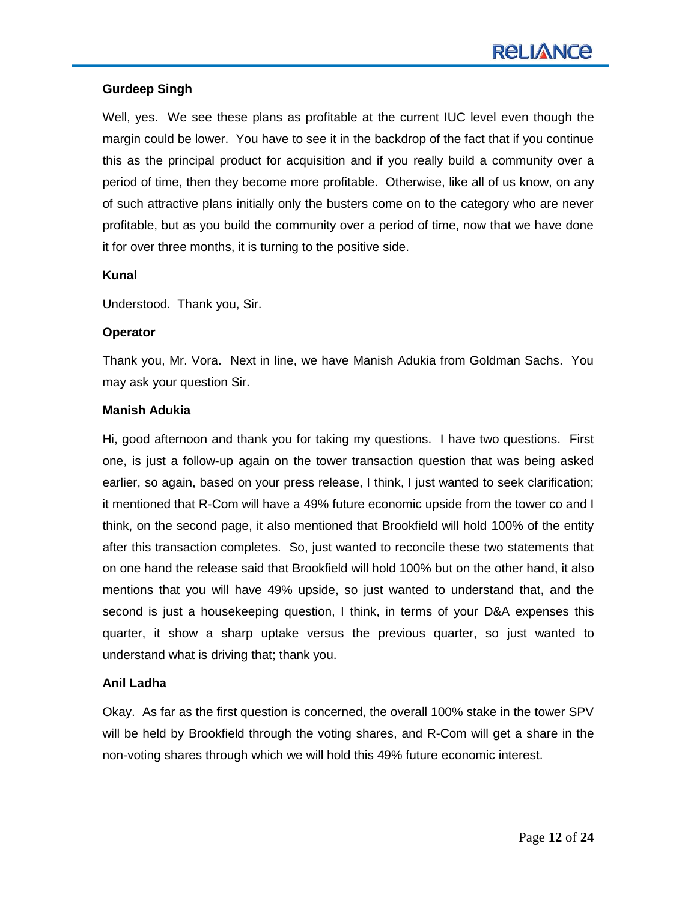## **Gurdeep Singh**

Well, yes. We see these plans as profitable at the current IUC level even though the margin could be lower. You have to see it in the backdrop of the fact that if you continue this as the principal product for acquisition and if you really build a community over a period of time, then they become more profitable. Otherwise, like all of us know, on any of such attractive plans initially only the busters come on to the category who are never profitable, but as you build the community over a period of time, now that we have done it for over three months, it is turning to the positive side.

## **Kunal**

Understood. Thank you, Sir.

#### **Operator**

Thank you, Mr. Vora. Next in line, we have Manish Adukia from Goldman Sachs. You may ask your question Sir.

#### **Manish Adukia**

Hi, good afternoon and thank you for taking my questions. I have two questions. First one, is just a follow-up again on the tower transaction question that was being asked earlier, so again, based on your press release, I think, I just wanted to seek clarification; it mentioned that R-Com will have a 49% future economic upside from the tower co and I think, on the second page, it also mentioned that Brookfield will hold 100% of the entity after this transaction completes. So, just wanted to reconcile these two statements that on one hand the release said that Brookfield will hold 100% but on the other hand, it also mentions that you will have 49% upside, so just wanted to understand that, and the second is just a housekeeping question, I think, in terms of your D&A expenses this quarter, it show a sharp uptake versus the previous quarter, so just wanted to understand what is driving that; thank you.

## **Anil Ladha**

Okay. As far as the first question is concerned, the overall 100% stake in the tower SPV will be held by Brookfield through the voting shares, and R-Com will get a share in the non-voting shares through which we will hold this 49% future economic interest.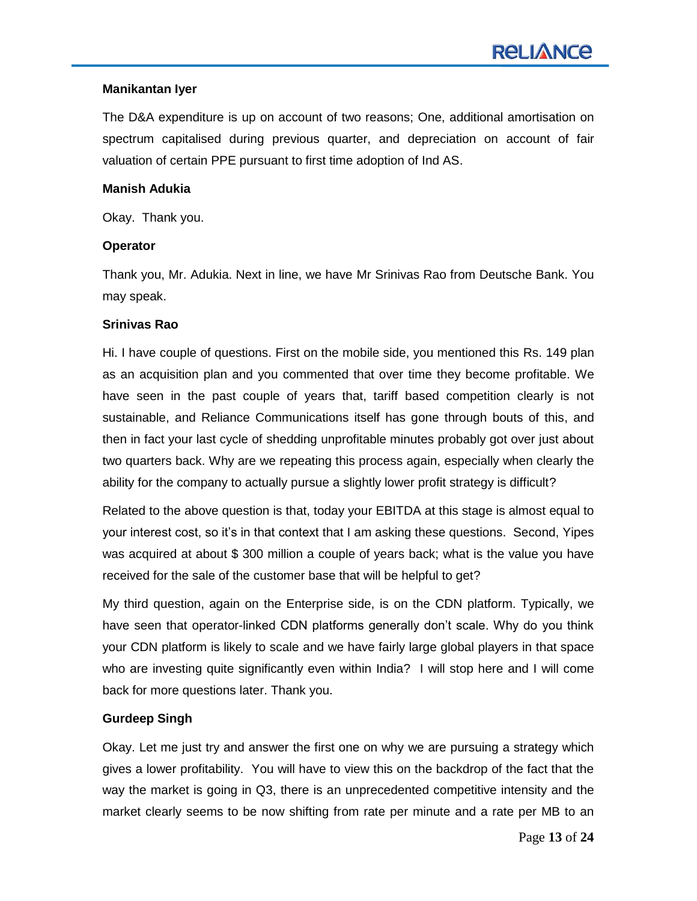## **Manikantan Iyer**

The D&A expenditure is up on account of two reasons; One, additional amortisation on spectrum capitalised during previous quarter, and depreciation on account of fair valuation of certain PPE pursuant to first time adoption of Ind AS.

#### **Manish Adukia**

Okay. Thank you.

#### **Operator**

Thank you, Mr. Adukia. Next in line, we have Mr Srinivas Rao from Deutsche Bank. You may speak.

#### **Srinivas Rao**

Hi. I have couple of questions. First on the mobile side, you mentioned this Rs. 149 plan as an acquisition plan and you commented that over time they become profitable. We have seen in the past couple of years that, tariff based competition clearly is not sustainable, and Reliance Communications itself has gone through bouts of this, and then in fact your last cycle of shedding unprofitable minutes probably got over just about two quarters back. Why are we repeating this process again, especially when clearly the ability for the company to actually pursue a slightly lower profit strategy is difficult?

Related to the above question is that, today your EBITDA at this stage is almost equal to your interest cost, so it's in that context that I am asking these questions. Second, Yipes was acquired at about \$ 300 million a couple of years back; what is the value you have received for the sale of the customer base that will be helpful to get?

My third question, again on the Enterprise side, is on the CDN platform. Typically, we have seen that operator-linked CDN platforms generally don't scale. Why do you think your CDN platform is likely to scale and we have fairly large global players in that space who are investing quite significantly even within India? I will stop here and I will come back for more questions later. Thank you.

## **Gurdeep Singh**

Okay. Let me just try and answer the first one on why we are pursuing a strategy which gives a lower profitability. You will have to view this on the backdrop of the fact that the way the market is going in Q3, there is an unprecedented competitive intensity and the market clearly seems to be now shifting from rate per minute and a rate per MB to an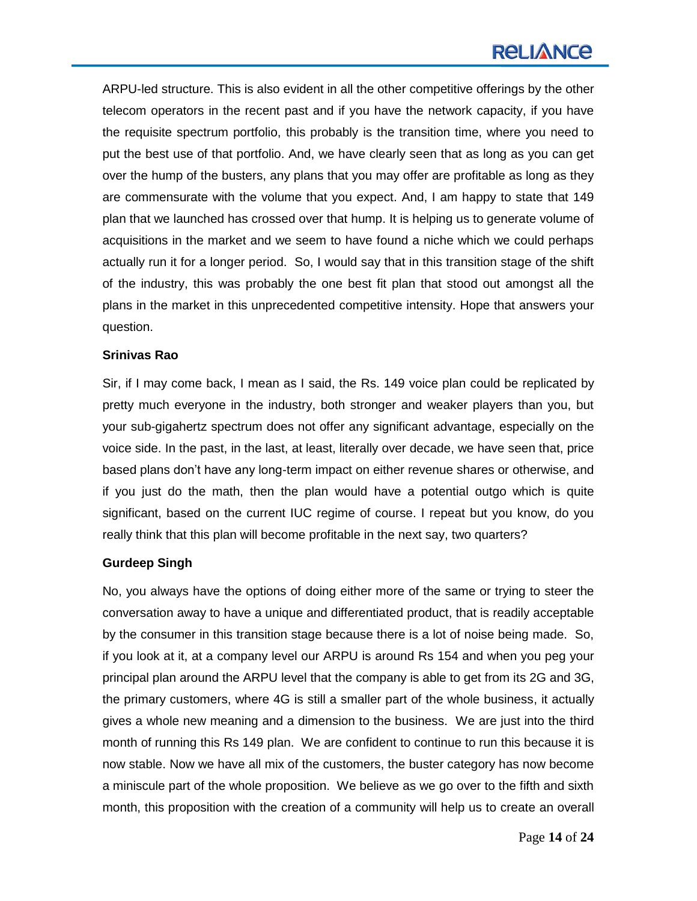# **RELIANCE**

ARPU-led structure. This is also evident in all the other competitive offerings by the other telecom operators in the recent past and if you have the network capacity, if you have the requisite spectrum portfolio, this probably is the transition time, where you need to put the best use of that portfolio. And, we have clearly seen that as long as you can get over the hump of the busters, any plans that you may offer are profitable as long as they are commensurate with the volume that you expect. And, I am happy to state that 149 plan that we launched has crossed over that hump. It is helping us to generate volume of acquisitions in the market and we seem to have found a niche which we could perhaps actually run it for a longer period. So, I would say that in this transition stage of the shift of the industry, this was probably the one best fit plan that stood out amongst all the plans in the market in this unprecedented competitive intensity. Hope that answers your question.

#### **Srinivas Rao**

Sir, if I may come back, I mean as I said, the Rs. 149 voice plan could be replicated by pretty much everyone in the industry, both stronger and weaker players than you, but your sub-gigahertz spectrum does not offer any significant advantage, especially on the voice side. In the past, in the last, at least, literally over decade, we have seen that, price based plans don't have any long-term impact on either revenue shares or otherwise, and if you just do the math, then the plan would have a potential outgo which is quite significant, based on the current IUC regime of course. I repeat but you know, do you really think that this plan will become profitable in the next say, two quarters?

## **Gurdeep Singh**

No, you always have the options of doing either more of the same or trying to steer the conversation away to have a unique and differentiated product, that is readily acceptable by the consumer in this transition stage because there is a lot of noise being made. So, if you look at it, at a company level our ARPU is around Rs 154 and when you peg your principal plan around the ARPU level that the company is able to get from its 2G and 3G, the primary customers, where 4G is still a smaller part of the whole business, it actually gives a whole new meaning and a dimension to the business. We are just into the third month of running this Rs 149 plan. We are confident to continue to run this because it is now stable. Now we have all mix of the customers, the buster category has now become a miniscule part of the whole proposition. We believe as we go over to the fifth and sixth month, this proposition with the creation of a community will help us to create an overall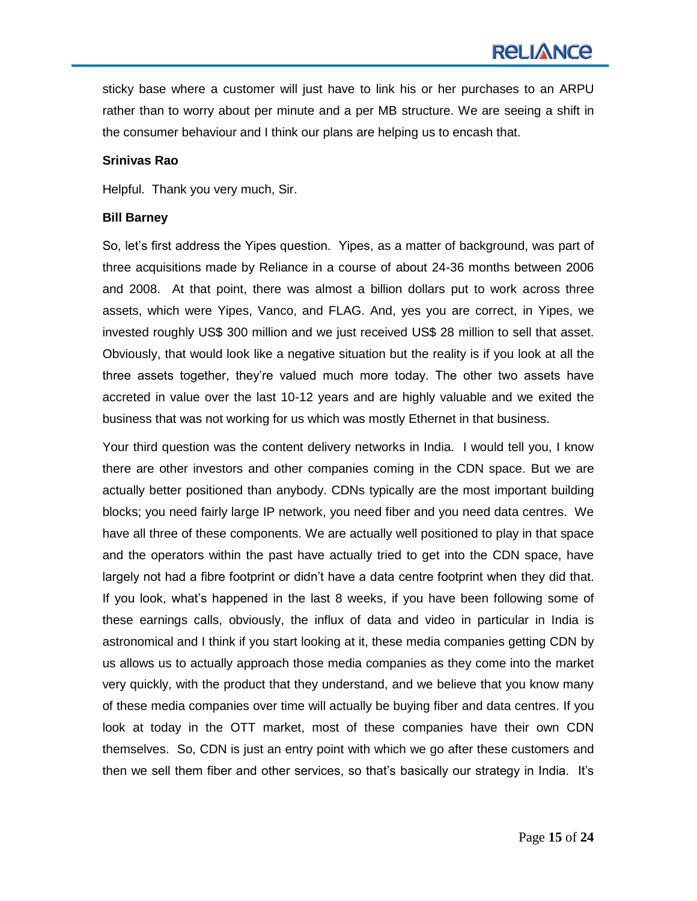sticky base where a customer will just have to link his or her purchases to an ARPU rather than to worry about per minute and a per MB structure. We are seeing a shift in the consumer behaviour and I think our plans are helping us to encash that.

#### **Srinivas Rao**

Helpful. Thank you very much, Sir.

#### **Bill Barney**

So, let's first address the Yipes question. Yipes, as a matter of background, was part of three acquisitions made by Reliance in a course of about 24-36 months between 2006 and 2008. At that point, there was almost a billion dollars put to work across three assets, which were Yipes, Vanco, and FLAG. And, yes you are correct, in Yipes, we invested roughly US\$ 300 million and we just received US\$ 28 million to sell that asset. Obviously, that would look like a negative situation but the reality is if you look at all the three assets together, they're valued much more today. The other two assets have accreted in value over the last 10-12 years and are highly valuable and we exited the business that was not working for us which was mostly Ethernet in that business.

Your third question was the content delivery networks in India. I would tell you, I know there are other investors and other companies coming in the CDN space. But we are actually better positioned than anybody. CDNs typically are the most important building blocks; you need fairly large IP network, you need fiber and you need data centres. We have all three of these components. We are actually well positioned to play in that space and the operators within the past have actually tried to get into the CDN space, have largely not had a fibre footprint or didn't have a data centre footprint when they did that. If you look, what's happened in the last 8 weeks, if you have been following some of these earnings calls, obviously, the influx of data and video in particular in India is astronomical and I think if you start looking at it, these media companies getting CDN by us allows us to actually approach those media companies as they come into the market very quickly, with the product that they understand, and we believe that you know many of these media companies over time will actually be buying fiber and data centres. If you look at today in the OTT market, most of these companies have their own CDN themselves. So, CDN is just an entry point with which we go after these customers and then we sell them fiber and other services, so that's basically our strategy in India. It's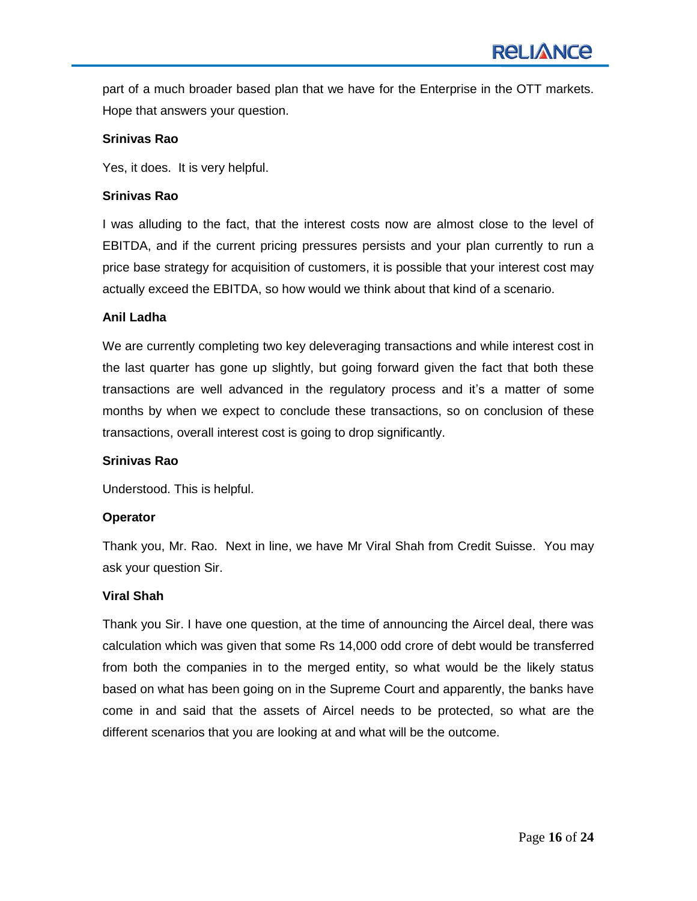part of a much broader based plan that we have for the Enterprise in the OTT markets. Hope that answers your question.

#### **Srinivas Rao**

Yes, it does. It is very helpful.

## **Srinivas Rao**

I was alluding to the fact, that the interest costs now are almost close to the level of EBITDA, and if the current pricing pressures persists and your plan currently to run a price base strategy for acquisition of customers, it is possible that your interest cost may actually exceed the EBITDA, so how would we think about that kind of a scenario.

#### **Anil Ladha**

We are currently completing two key deleveraging transactions and while interest cost in the last quarter has gone up slightly, but going forward given the fact that both these transactions are well advanced in the regulatory process and it's a matter of some months by when we expect to conclude these transactions, so on conclusion of these transactions, overall interest cost is going to drop significantly.

#### **Srinivas Rao**

Understood. This is helpful.

#### **Operator**

Thank you, Mr. Rao. Next in line, we have Mr Viral Shah from Credit Suisse. You may ask your question Sir.

#### **Viral Shah**

Thank you Sir. I have one question, at the time of announcing the Aircel deal, there was calculation which was given that some Rs 14,000 odd crore of debt would be transferred from both the companies in to the merged entity, so what would be the likely status based on what has been going on in the Supreme Court and apparently, the banks have come in and said that the assets of Aircel needs to be protected, so what are the different scenarios that you are looking at and what will be the outcome.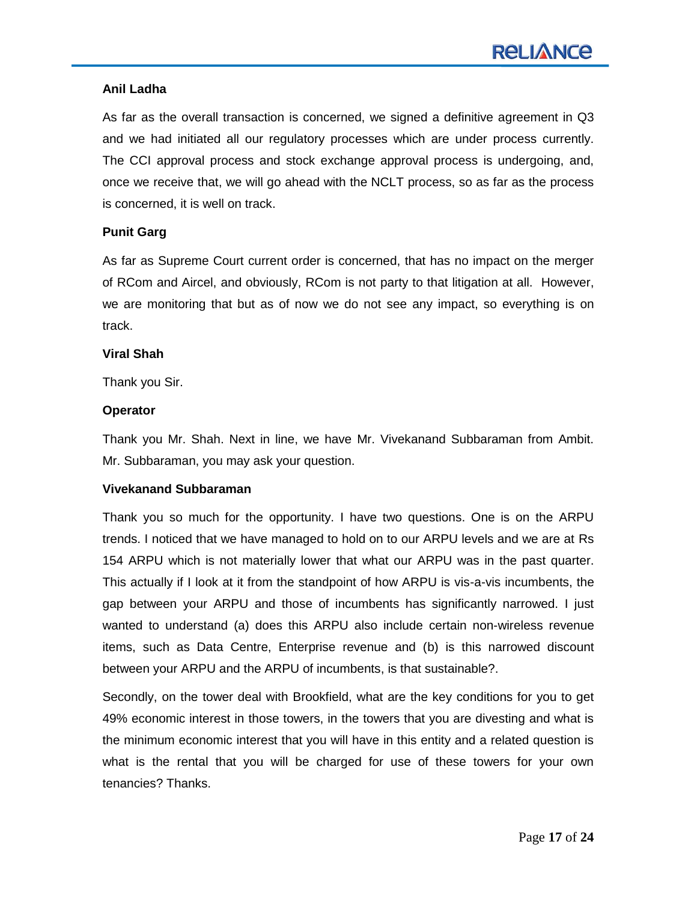As far as the overall transaction is concerned, we signed a definitive agreement in Q3 and we had initiated all our regulatory processes which are under process currently. The CCI approval process and stock exchange approval process is undergoing, and, once we receive that, we will go ahead with the NCLT process, so as far as the process is concerned, it is well on track.

## **Punit Garg**

As far as Supreme Court current order is concerned, that has no impact on the merger of RCom and Aircel, and obviously, RCom is not party to that litigation at all. However, we are monitoring that but as of now we do not see any impact, so everything is on track.

## **Viral Shah**

Thank you Sir.

## **Operator**

Thank you Mr. Shah. Next in line, we have Mr. Vivekanand Subbaraman from Ambit. Mr. Subbaraman, you may ask your question.

## **Vivekanand Subbaraman**

Thank you so much for the opportunity. I have two questions. One is on the ARPU trends. I noticed that we have managed to hold on to our ARPU levels and we are at Rs 154 ARPU which is not materially lower that what our ARPU was in the past quarter. This actually if I look at it from the standpoint of how ARPU is vis-a-vis incumbents, the gap between your ARPU and those of incumbents has significantly narrowed. I just wanted to understand (a) does this ARPU also include certain non-wireless revenue items, such as Data Centre, Enterprise revenue and (b) is this narrowed discount between your ARPU and the ARPU of incumbents, is that sustainable?.

Secondly, on the tower deal with Brookfield, what are the key conditions for you to get 49% economic interest in those towers, in the towers that you are divesting and what is the minimum economic interest that you will have in this entity and a related question is what is the rental that you will be charged for use of these towers for your own tenancies? Thanks.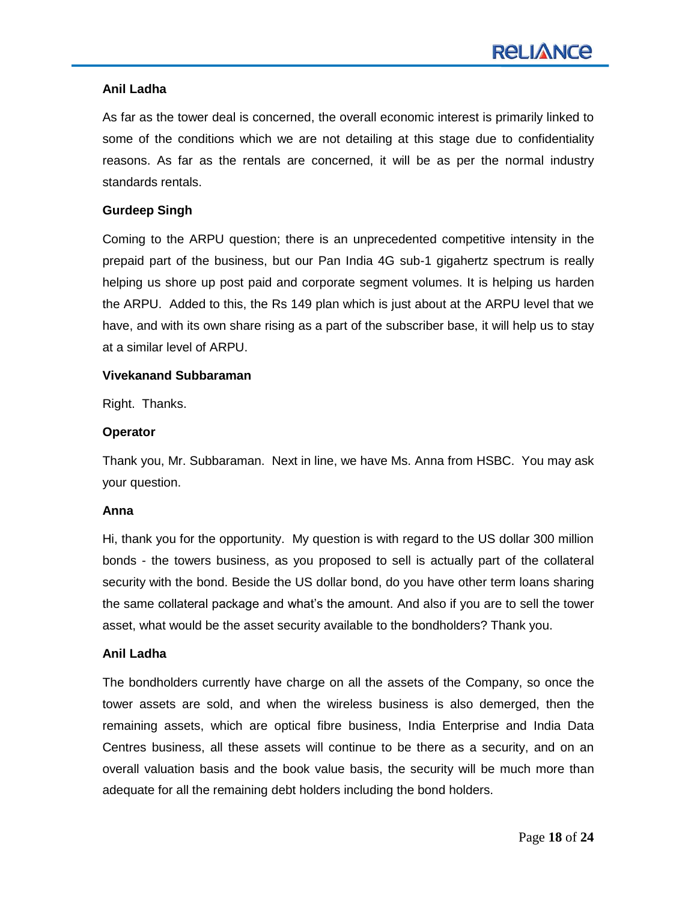As far as the tower deal is concerned, the overall economic interest is primarily linked to some of the conditions which we are not detailing at this stage due to confidentiality reasons. As far as the rentals are concerned, it will be as per the normal industry standards rentals.

## **Gurdeep Singh**

Coming to the ARPU question; there is an unprecedented competitive intensity in the prepaid part of the business, but our Pan India 4G sub-1 gigahertz spectrum is really helping us shore up post paid and corporate segment volumes. It is helping us harden the ARPU. Added to this, the Rs 149 plan which is just about at the ARPU level that we have, and with its own share rising as a part of the subscriber base, it will help us to stay at a similar level of ARPU.

## **Vivekanand Subbaraman**

Right. Thanks.

## **Operator**

Thank you, Mr. Subbaraman. Next in line, we have Ms. Anna from HSBC. You may ask your question.

## **Anna**

Hi, thank you for the opportunity. My question is with regard to the US dollar 300 million bonds - the towers business, as you proposed to sell is actually part of the collateral security with the bond. Beside the US dollar bond, do you have other term loans sharing the same collateral package and what's the amount. And also if you are to sell the tower asset, what would be the asset security available to the bondholders? Thank you.

## **Anil Ladha**

The bondholders currently have charge on all the assets of the Company, so once the tower assets are sold, and when the wireless business is also demerged, then the remaining assets, which are optical fibre business, India Enterprise and India Data Centres business, all these assets will continue to be there as a security, and on an overall valuation basis and the book value basis, the security will be much more than adequate for all the remaining debt holders including the bond holders.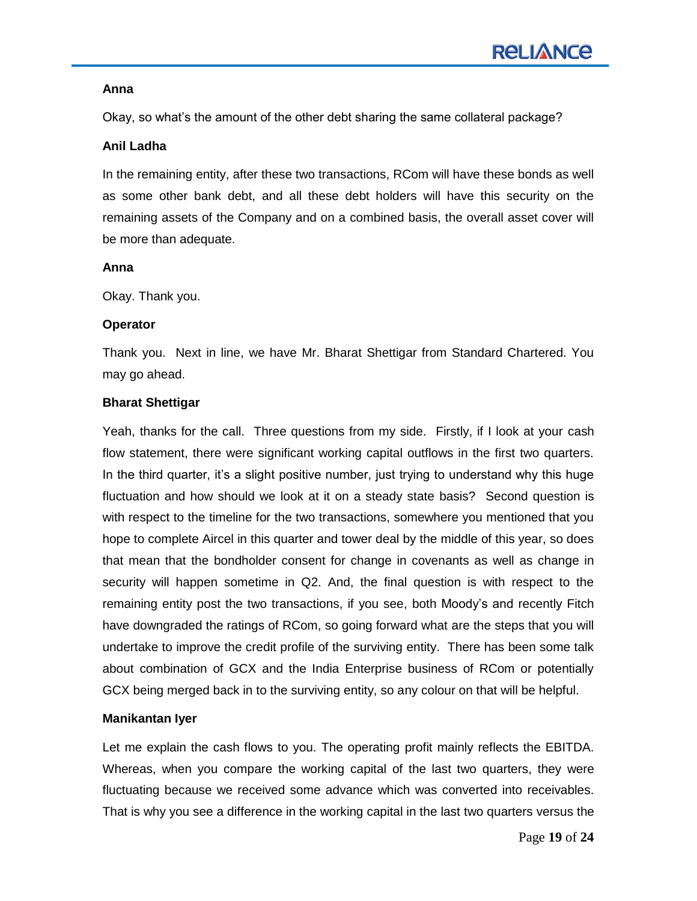#### **Anna**

Okay, so what's the amount of the other debt sharing the same collateral package?

## **Anil Ladha**

In the remaining entity, after these two transactions, RCom will have these bonds as well as some other bank debt, and all these debt holders will have this security on the remaining assets of the Company and on a combined basis, the overall asset cover will be more than adequate.

#### **Anna**

Okay. Thank you.

#### **Operator**

Thank you. Next in line, we have Mr. Bharat Shettigar from Standard Chartered. You may go ahead.

## **Bharat Shettigar**

Yeah, thanks for the call. Three questions from my side. Firstly, if I look at your cash flow statement, there were significant working capital outflows in the first two quarters. In the third quarter, it's a slight positive number, just trying to understand why this huge fluctuation and how should we look at it on a steady state basis? Second question is with respect to the timeline for the two transactions, somewhere you mentioned that you hope to complete Aircel in this quarter and tower deal by the middle of this year, so does that mean that the bondholder consent for change in covenants as well as change in security will happen sometime in Q2. And, the final question is with respect to the remaining entity post the two transactions, if you see, both Moody's and recently Fitch have downgraded the ratings of RCom, so going forward what are the steps that you will undertake to improve the credit profile of the surviving entity. There has been some talk about combination of GCX and the India Enterprise business of RCom or potentially GCX being merged back in to the surviving entity, so any colour on that will be helpful.

## **Manikantan Iyer**

Let me explain the cash flows to you. The operating profit mainly reflects the EBITDA. Whereas, when you compare the working capital of the last two quarters, they were fluctuating because we received some advance which was converted into receivables. That is why you see a difference in the working capital in the last two quarters versus the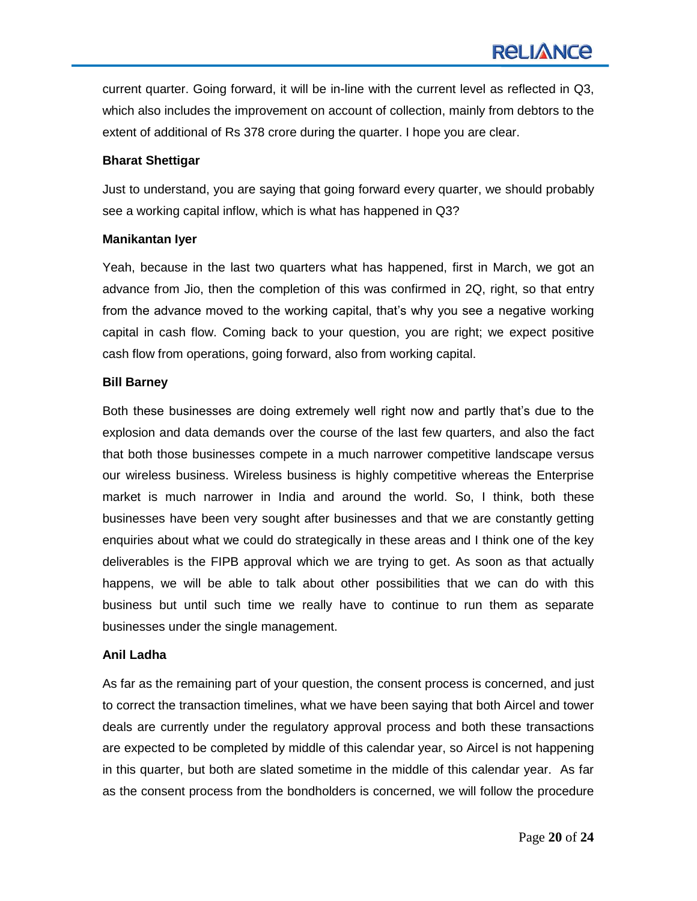current quarter. Going forward, it will be in-line with the current level as reflected in Q3, which also includes the improvement on account of collection, mainly from debtors to the extent of additional of Rs 378 crore during the quarter. I hope you are clear.

#### **Bharat Shettigar**

Just to understand, you are saying that going forward every quarter, we should probably see a working capital inflow, which is what has happened in Q3?

## **Manikantan Iyer**

Yeah, because in the last two quarters what has happened, first in March, we got an advance from Jio, then the completion of this was confirmed in 2Q, right, so that entry from the advance moved to the working capital, that's why you see a negative working capital in cash flow. Coming back to your question, you are right; we expect positive cash flow from operations, going forward, also from working capital.

#### **Bill Barney**

Both these businesses are doing extremely well right now and partly that's due to the explosion and data demands over the course of the last few quarters, and also the fact that both those businesses compete in a much narrower competitive landscape versus our wireless business. Wireless business is highly competitive whereas the Enterprise market is much narrower in India and around the world. So, I think, both these businesses have been very sought after businesses and that we are constantly getting enquiries about what we could do strategically in these areas and I think one of the key deliverables is the FIPB approval which we are trying to get. As soon as that actually happens, we will be able to talk about other possibilities that we can do with this business but until such time we really have to continue to run them as separate businesses under the single management.

## **Anil Ladha**

As far as the remaining part of your question, the consent process is concerned, and just to correct the transaction timelines, what we have been saying that both Aircel and tower deals are currently under the regulatory approval process and both these transactions are expected to be completed by middle of this calendar year, so Aircel is not happening in this quarter, but both are slated sometime in the middle of this calendar year. As far as the consent process from the bondholders is concerned, we will follow the procedure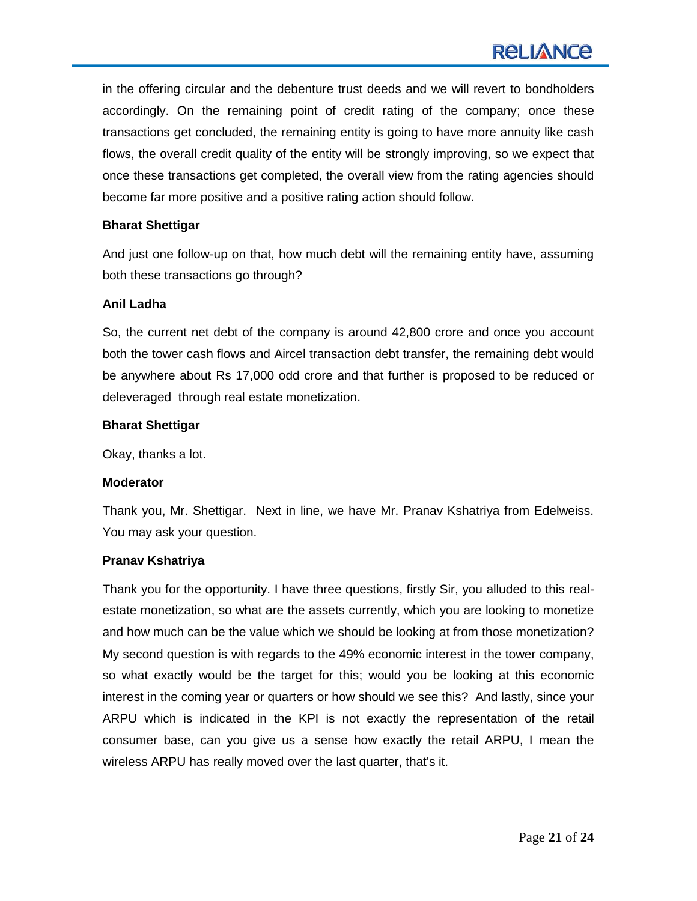# **RELIANCE**

in the offering circular and the debenture trust deeds and we will revert to bondholders accordingly. On the remaining point of credit rating of the company; once these transactions get concluded, the remaining entity is going to have more annuity like cash flows, the overall credit quality of the entity will be strongly improving, so we expect that once these transactions get completed, the overall view from the rating agencies should become far more positive and a positive rating action should follow.

#### **Bharat Shettigar**

And just one follow-up on that, how much debt will the remaining entity have, assuming both these transactions go through?

## **Anil Ladha**

So, the current net debt of the company is around 42,800 crore and once you account both the tower cash flows and Aircel transaction debt transfer, the remaining debt would be anywhere about Rs 17,000 odd crore and that further is proposed to be reduced or deleveraged through real estate monetization.

#### **Bharat Shettigar**

Okay, thanks a lot.

## **Moderator**

Thank you, Mr. Shettigar. Next in line, we have Mr. Pranav Kshatriya from Edelweiss. You may ask your question.

## **Pranav Kshatriya**

Thank you for the opportunity. I have three questions, firstly Sir, you alluded to this realestate monetization, so what are the assets currently, which you are looking to monetize and how much can be the value which we should be looking at from those monetization? My second question is with regards to the 49% economic interest in the tower company, so what exactly would be the target for this; would you be looking at this economic interest in the coming year or quarters or how should we see this? And lastly, since your ARPU which is indicated in the KPI is not exactly the representation of the retail consumer base, can you give us a sense how exactly the retail ARPU, I mean the wireless ARPU has really moved over the last quarter, that's it.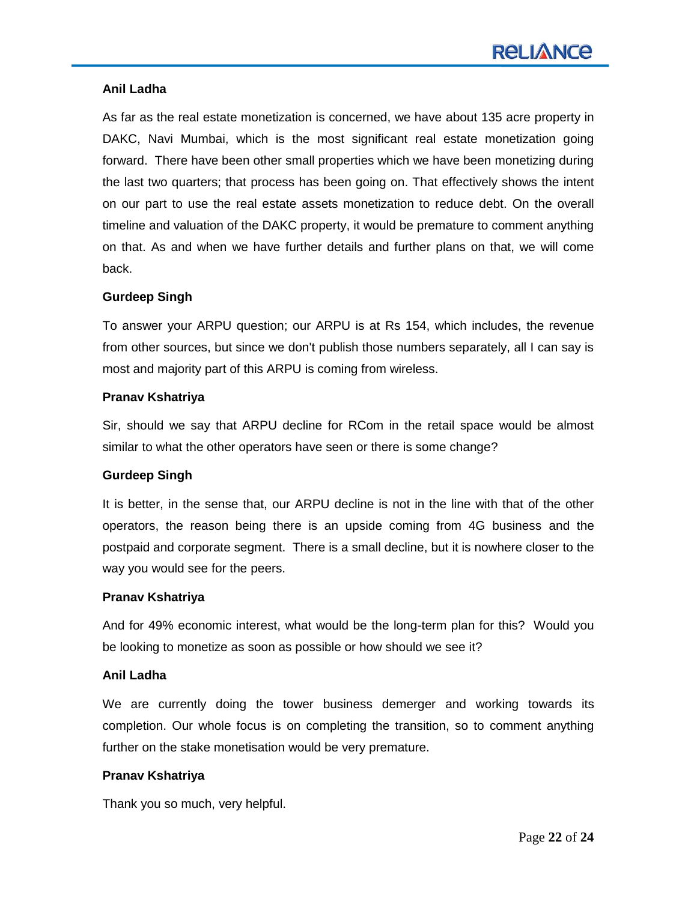As far as the real estate monetization is concerned, we have about 135 acre property in DAKC, Navi Mumbai, which is the most significant real estate monetization going forward. There have been other small properties which we have been monetizing during the last two quarters; that process has been going on. That effectively shows the intent on our part to use the real estate assets monetization to reduce debt. On the overall timeline and valuation of the DAKC property, it would be premature to comment anything on that. As and when we have further details and further plans on that, we will come back.

#### **Gurdeep Singh**

To answer your ARPU question; our ARPU is at Rs 154, which includes, the revenue from other sources, but since we don't publish those numbers separately, all I can say is most and majority part of this ARPU is coming from wireless.

## **Pranav Kshatriya**

Sir, should we say that ARPU decline for RCom in the retail space would be almost similar to what the other operators have seen or there is some change?

#### **Gurdeep Singh**

It is better, in the sense that, our ARPU decline is not in the line with that of the other operators, the reason being there is an upside coming from 4G business and the postpaid and corporate segment. There is a small decline, but it is nowhere closer to the way you would see for the peers.

#### **Pranav Kshatriya**

And for 49% economic interest, what would be the long-term plan for this? Would you be looking to monetize as soon as possible or how should we see it?

#### **Anil Ladha**

We are currently doing the tower business demerger and working towards its completion. Our whole focus is on completing the transition, so to comment anything further on the stake monetisation would be very premature.

#### **Pranav Kshatriya**

Thank you so much, very helpful.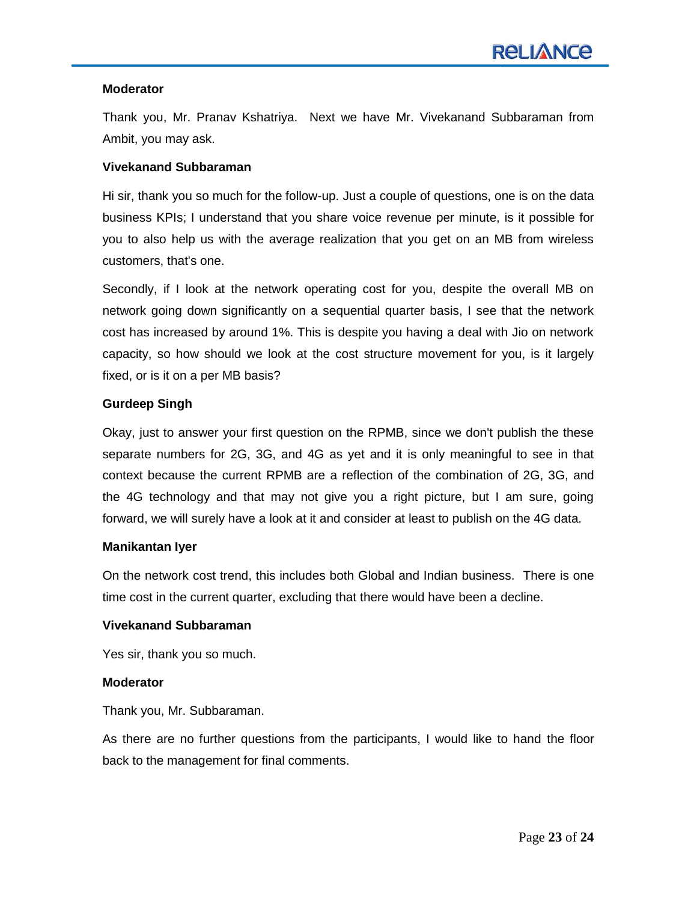#### **Moderator**

Thank you, Mr. Pranav Kshatriya. Next we have Mr. Vivekanand Subbaraman from Ambit, you may ask.

## **Vivekanand Subbaraman**

Hi sir, thank you so much for the follow-up. Just a couple of questions, one is on the data business KPIs; I understand that you share voice revenue per minute, is it possible for you to also help us with the average realization that you get on an MB from wireless customers, that's one.

Secondly, if I look at the network operating cost for you, despite the overall MB on network going down significantly on a sequential quarter basis, I see that the network cost has increased by around 1%. This is despite you having a deal with Jio on network capacity, so how should we look at the cost structure movement for you, is it largely fixed, or is it on a per MB basis?

## **Gurdeep Singh**

Okay, just to answer your first question on the RPMB, since we don't publish the these separate numbers for 2G, 3G, and 4G as yet and it is only meaningful to see in that context because the current RPMB are a reflection of the combination of 2G, 3G, and the 4G technology and that may not give you a right picture, but I am sure, going forward, we will surely have a look at it and consider at least to publish on the 4G data.

#### **Manikantan Iyer**

On the network cost trend, this includes both Global and Indian business. There is one time cost in the current quarter, excluding that there would have been a decline.

#### **Vivekanand Subbaraman**

Yes sir, thank you so much.

#### **Moderator**

Thank you, Mr. Subbaraman.

As there are no further questions from the participants, I would like to hand the floor back to the management for final comments.